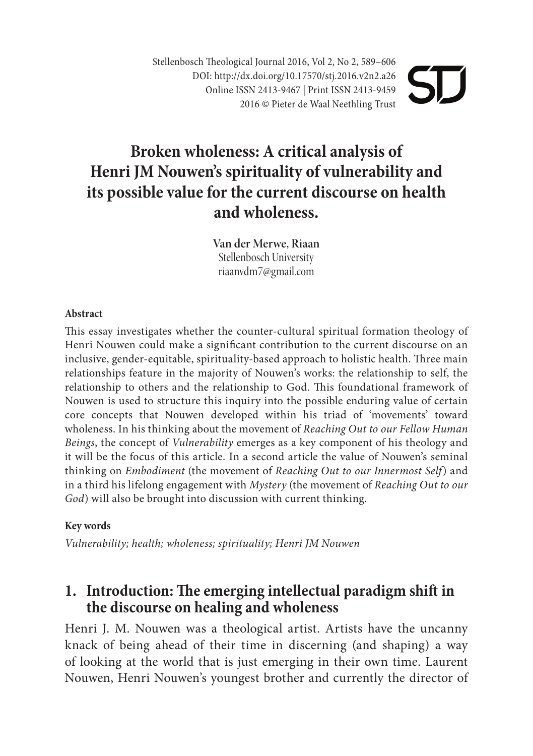Stellenbosch Theological Journal 2016, Vol 2, No 2, 589–606 DOI: http://dx.doi.org/10.17570/stj.2016.v2n2.a26 Online ISSN 2413-9467 | Print ISSN 2413-9459 2016 © Pieter de Waal Neethling Trust

# **Broken wholeness: A critical analysis of Henri JM Nouwen's spirituality of vulnerability and its possible value for the current discourse on health and wholeness.**

**Van der Merwe, Riaan** Stellenbosch University riaanvdm7@gmail.com

#### **Abstract**

This essay investigates whether the counter-cultural spiritual formation theology of Henri Nouwen could make a significant contribution to the current discourse on an inclusive, gender-equitable, spirituality-based approach to holistic health. Three main relationships feature in the majority of Nouwen's works: the relationship to self, the relationship to others and the relationship to God. This foundational framework of Nouwen is used to structure this inquiry into the possible enduring value of certain core concepts that Nouwen developed within his triad of 'movements' toward wholeness. In his thinking about the movement of *Reaching Out to our Fellow Human Beings*, the concept of *Vulnerability* emerges as a key component of his theology and it will be the focus of this article. In a second article the value of Nouwen's seminal thinking on *Embodiment* (the movement of *Reaching Out to our Innermost Self*) and in a third his lifelong engagement with *Mystery* (the movement of *Reaching Out to our God*) will also be brought into discussion with current thinking.

#### **Key words**

*Vulnerability; health; wholeness; spirituality; Henri JM Nouwen*

## **1. Introduction: The emerging intellectual paradigm shift in the discourse on healing and wholeness**

Henri J. M. Nouwen was a theological artist. Artists have the uncanny knack of being ahead of their time in discerning (and shaping) a way of looking at the world that is just emerging in their own time. Laurent Nouwen, Henri Nouwen's youngest brother and currently the director of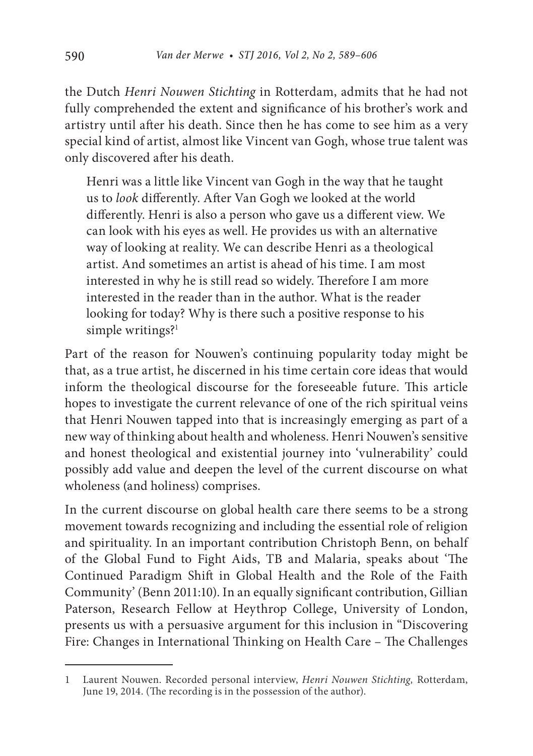the Dutch *Henri Nouwen Stichting* in Rotterdam, admits that he had not fully comprehended the extent and significance of his brother's work and artistry until after his death. Since then he has come to see him as a very special kind of artist, almost like Vincent van Gogh, whose true talent was only discovered after his death.

Henri was a little like Vincent van Gogh in the way that he taught us to *look* differently. After Van Gogh we looked at the world differently. Henri is also a person who gave us a different view. We can look with his eyes as well. He provides us with an alternative way of looking at reality. We can describe Henri as a theological artist. And sometimes an artist is ahead of his time. I am most interested in why he is still read so widely. Therefore I am more interested in the reader than in the author. What is the reader looking for today? Why is there such a positive response to his simple writings?<sup>1</sup>

Part of the reason for Nouwen's continuing popularity today might be that, as a true artist, he discerned in his time certain core ideas that would inform the theological discourse for the foreseeable future. This article hopes to investigate the current relevance of one of the rich spiritual veins that Henri Nouwen tapped into that is increasingly emerging as part of a new way of thinking about health and wholeness. Henri Nouwen's sensitive and honest theological and existential journey into 'vulnerability' could possibly add value and deepen the level of the current discourse on what wholeness (and holiness) comprises.

In the current discourse on global health care there seems to be a strong movement towards recognizing and including the essential role of religion and spirituality. In an important contribution Christoph Benn, on behalf of the Global Fund to Fight Aids, TB and Malaria, speaks about 'The Continued Paradigm Shift in Global Health and the Role of the Faith Community' (Benn 2011:10). In an equally significant contribution, Gillian Paterson, Research Fellow at Heythrop College, University of London, presents us with a persuasive argument for this inclusion in "Discovering Fire: Changes in International Thinking on Health Care – The Challenges

<sup>1</sup> Laurent Nouwen. Recorded personal interview, *Henri Nouwen Stichting,* Rotterdam, June 19, 2014. (The recording is in the possession of the author).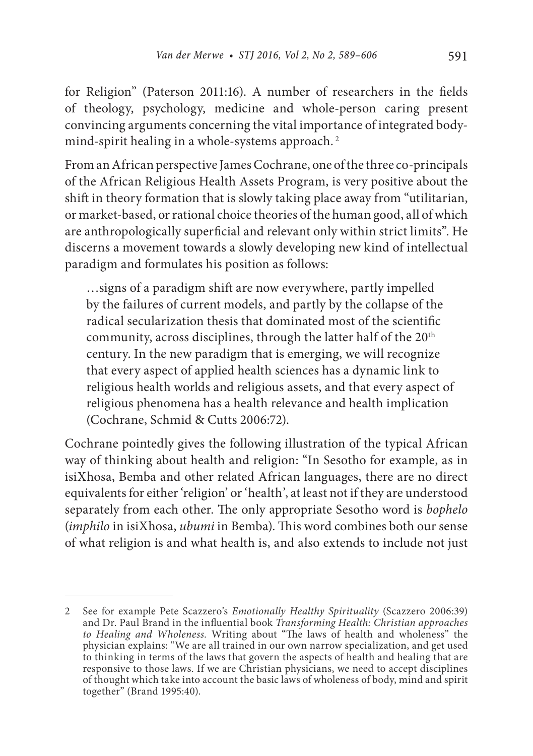for Religion" (Paterson 2011:16). A number of researchers in the fields of theology, psychology, medicine and whole-person caring present convincing arguments concerning the vital importance of integrated bodymind-spirit healing in a whole-systems approach. 2

From an African perspective James Cochrane, one of the three co-principals of the African Religious Health Assets Program, is very positive about the shift in theory formation that is slowly taking place away from "utilitarian, or market-based, or rational choice theories of the human good, all of which are anthropologically superficial and relevant only within strict limits". He discerns a movement towards a slowly developing new kind of intellectual paradigm and formulates his position as follows:

…signs of a paradigm shift are now everywhere, partly impelled by the failures of current models, and partly by the collapse of the radical secularization thesis that dominated most of the scientific community, across disciplines, through the latter half of the 20<sup>th</sup> century. In the new paradigm that is emerging, we will recognize that every aspect of applied health sciences has a dynamic link to religious health worlds and religious assets, and that every aspect of religious phenomena has a health relevance and health implication (Cochrane, Schmid & Cutts 2006:72).

Cochrane pointedly gives the following illustration of the typical African way of thinking about health and religion: "In Sesotho for example, as in isiXhosa, Bemba and other related African languages, there are no direct equivalents for either 'religion' or 'health', at least not if they are understood separately from each other. The only appropriate Sesotho word is *bophelo* (*imphilo* in isiXhosa, *ubumi* in Bemba). This word combines both our sense of what religion is and what health is, and also extends to include not just

<sup>2</sup> See for example Pete Scazzero's *Emotionally Healthy Spirituality* (Scazzero 2006:39) and Dr. Paul Brand in the influential book *Transforming Health: Christian approaches to Healing and Wholeness.* Writing about "The laws of health and wholeness" the physician explains: "We are all trained in our own narrow specialization, and get used to thinking in terms of the laws that govern the aspects of health and healing that are responsive to those laws. If we are Christian physicians, we need to accept disciplines of thought which take into account the basic laws of wholeness of body, mind and spirit together" (Brand 1995:40).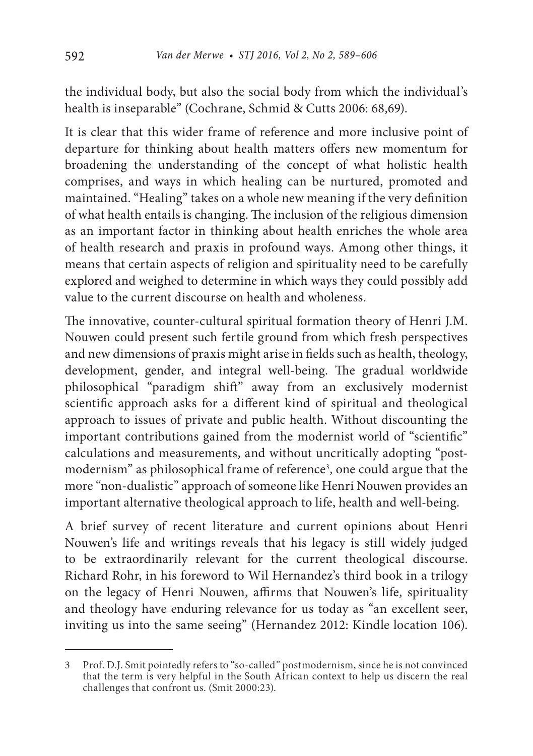the individual body, but also the social body from which the individual's health is inseparable" (Cochrane, Schmid & Cutts 2006: 68,69).

It is clear that this wider frame of reference and more inclusive point of departure for thinking about health matters offers new momentum for broadening the understanding of the concept of what holistic health comprises, and ways in which healing can be nurtured, promoted and maintained. "Healing" takes on a whole new meaning if the very definition of what health entails is changing. The inclusion of the religious dimension as an important factor in thinking about health enriches the whole area of health research and praxis in profound ways. Among other things, it means that certain aspects of religion and spirituality need to be carefully explored and weighed to determine in which ways they could possibly add value to the current discourse on health and wholeness.

The innovative, counter-cultural spiritual formation theory of Henri J.M. Nouwen could present such fertile ground from which fresh perspectives and new dimensions of praxis might arise in fields such as health, theology, development, gender, and integral well-being. The gradual worldwide philosophical "paradigm shift" away from an exclusively modernist scientific approach asks for a different kind of spiritual and theological approach to issues of private and public health. Without discounting the important contributions gained from the modernist world of "scientific" calculations and measurements, and without uncritically adopting "postmodernism" as philosophical frame of reference<sup>3</sup>, one could argue that the more "non-dualistic" approach of someone like Henri Nouwen provides an important alternative theological approach to life, health and well-being.

A brief survey of recent literature and current opinions about Henri Nouwen's life and writings reveals that his legacy is still widely judged to be extraordinarily relevant for the current theological discourse. Richard Rohr, in his foreword to Wil Hernandez's third book in a trilogy on the legacy of Henri Nouwen, affirms that Nouwen's life, spirituality and theology have enduring relevance for us today as "an excellent seer, inviting us into the same seeing" (Hernandez 2012: Kindle location 106).

<sup>3</sup> Prof. D.J. Smit pointedly refers to "so-called" postmodernism, since he is not convinced that the term is very helpful in the South African context to help us discern the real challenges that confront us. (Smit 2000:23).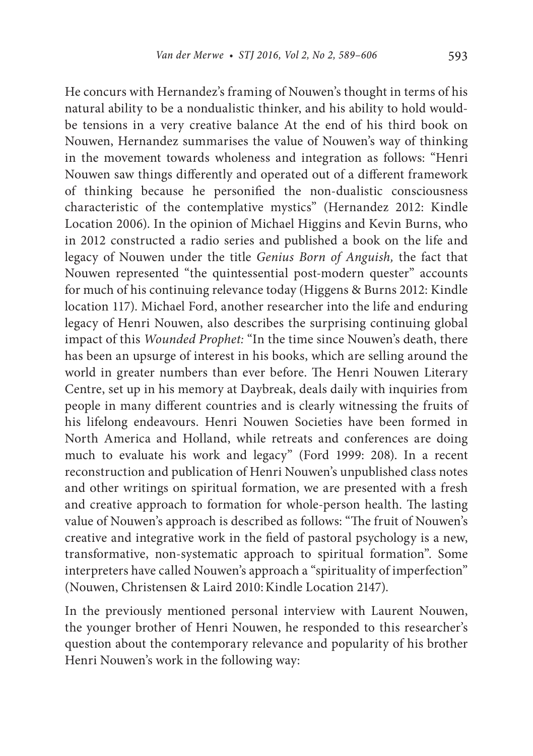He concurs with Hernandez's framing of Nouwen's thought in terms of his natural ability to be a nondualistic thinker, and his ability to hold wouldbe tensions in a very creative balance At the end of his third book on Nouwen, Hernandez summarises the value of Nouwen's way of thinking in the movement towards wholeness and integration as follows: "Henri Nouwen saw things differently and operated out of a different framework of thinking because he personified the non-dualistic consciousness characteristic of the contemplative mystics" (Hernandez 2012: Kindle Location 2006). In the opinion of Michael Higgins and Kevin Burns, who in 2012 constructed a radio series and published a book on the life and legacy of Nouwen under the title *Genius Born of Anguish,* the fact that Nouwen represented "the quintessential post-modern quester" accounts for much of his continuing relevance today (Higgens & Burns 2012: Kindle location 117). Michael Ford, another researcher into the life and enduring legacy of Henri Nouwen, also describes the surprising continuing global impact of this *Wounded Prophet:* "In the time since Nouwen's death, there has been an upsurge of interest in his books, which are selling around the world in greater numbers than ever before. The Henri Nouwen Literary Centre, set up in his memory at Daybreak, deals daily with inquiries from people in many different countries and is clearly witnessing the fruits of his lifelong endeavours. Henri Nouwen Societies have been formed in North America and Holland, while retreats and conferences are doing much to evaluate his work and legacy" (Ford 1999: 208). In a recent reconstruction and publication of Henri Nouwen's unpublished class notes and other writings on spiritual formation, we are presented with a fresh and creative approach to formation for whole-person health. The lasting value of Nouwen's approach is described as follows: "The fruit of Nouwen's creative and integrative work in the field of pastoral psychology is a new, transformative, non-systematic approach to spiritual formation". Some interpreters have called Nouwen's approach a "spirituality of imperfection" (Nouwen, Christensen & Laird 2010: Kindle Location 2147).

In the previously mentioned personal interview with Laurent Nouwen, the younger brother of Henri Nouwen, he responded to this researcher's question about the contemporary relevance and popularity of his brother Henri Nouwen's work in the following way: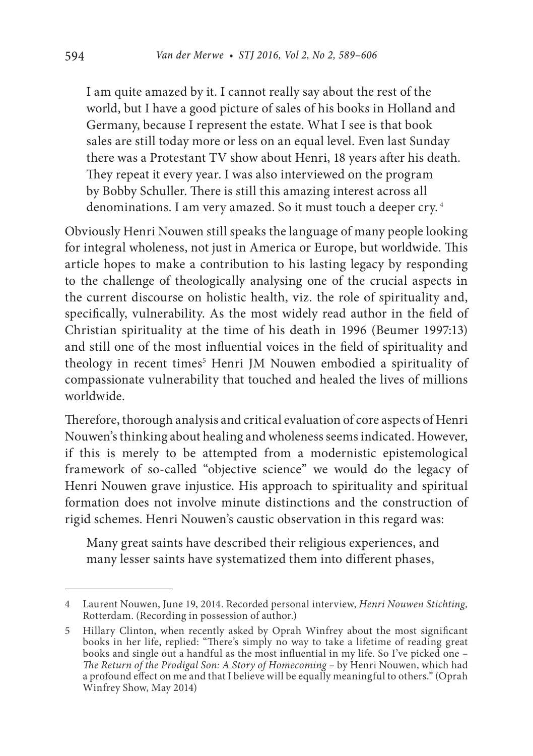I am quite amazed by it. I cannot really say about the rest of the world, but I have a good picture of sales of his books in Holland and Germany, because I represent the estate. What I see is that book sales are still today more or less on an equal level. Even last Sunday there was a Protestant TV show about Henri, 18 years after his death. They repeat it every year. I was also interviewed on the program by Bobby Schuller. There is still this amazing interest across all denominations. I am very amazed. So it must touch a deeper cry. 4

Obviously Henri Nouwen still speaks the language of many people looking for integral wholeness, not just in America or Europe, but worldwide. This article hopes to make a contribution to his lasting legacy by responding to the challenge of theologically analysing one of the crucial aspects in the current discourse on holistic health, viz. the role of spirituality and, specifically, vulnerability. As the most widely read author in the field of Christian spirituality at the time of his death in 1996 (Beumer 1997:13) and still one of the most influential voices in the field of spirituality and theology in recent times<sup>5</sup> Henri JM Nouwen embodied a spirituality of compassionate vulnerability that touched and healed the lives of millions worldwide.

Therefore, thorough analysis and critical evaluation of core aspects of Henri Nouwen's thinking about healing and wholeness seems indicated. However, if this is merely to be attempted from a modernistic epistemological framework of so-called "objective science" we would do the legacy of Henri Nouwen grave injustice. His approach to spirituality and spiritual formation does not involve minute distinctions and the construction of rigid schemes. Henri Nouwen's caustic observation in this regard was:

Many great saints have described their religious experiences, and many lesser saints have systematized them into different phases,

<sup>4</sup> Laurent Nouwen, June 19, 2014. Recorded personal interview, *Henri Nouwen Stichting,* Rotterdam. (Recording in possession of author.)

<sup>5</sup> Hillary Clinton, when recently asked by Oprah Winfrey about the most significant books in her life, replied: "There's simply no way to take a lifetime of reading great books and single out a handful as the most influential in my life. So I've picked one – *The Return of the Prodigal Son: A Story of Homecoming –* by Henri Nouwen, which had a profound effect on me and that I believe will be equally meaningful to others." (Oprah Winfrey Show, May 2014)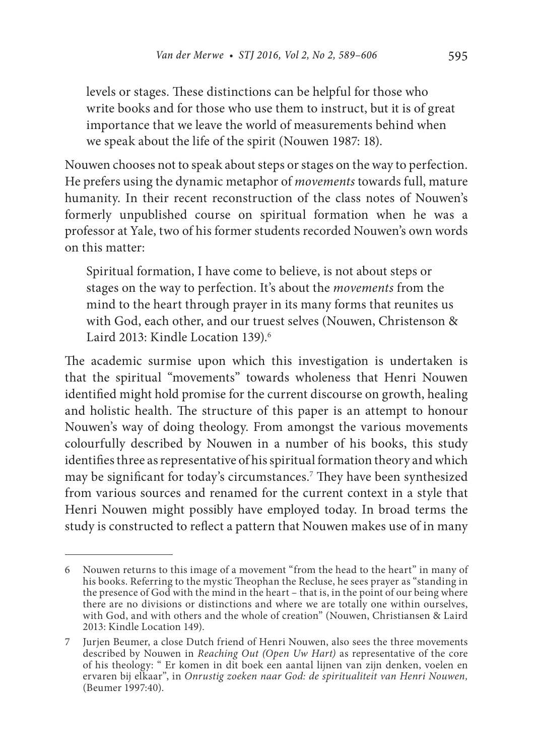levels or stages. These distinctions can be helpful for those who write books and for those who use them to instruct, but it is of great importance that we leave the world of measurements behind when we speak about the life of the spirit (Nouwen 1987: 18).

Nouwen chooses not to speak about steps or stages on the way to perfection. He prefers using the dynamic metaphor of *movements* towards full, mature humanity. In their recent reconstruction of the class notes of Nouwen's formerly unpublished course on spiritual formation when he was a professor at Yale, two of his former students recorded Nouwen's own words on this matter:

Spiritual formation, I have come to believe, is not about steps or stages on the way to perfection. It's about the *movements* from the mind to the heart through prayer in its many forms that reunites us with God, each other, and our truest selves (Nouwen, Christenson & Laird 2013: Kindle Location 139).<sup>6</sup>

The academic surmise upon which this investigation is undertaken is that the spiritual "movements" towards wholeness that Henri Nouwen identified might hold promise for the current discourse on growth, healing and holistic health. The structure of this paper is an attempt to honour Nouwen's way of doing theology. From amongst the various movements colourfully described by Nouwen in a number of his books, this study identifies three as representative of his spiritual formation theory and which may be significant for today's circumstances.7 They have been synthesized from various sources and renamed for the current context in a style that Henri Nouwen might possibly have employed today. In broad terms the study is constructed to reflect a pattern that Nouwen makes use of in many

<sup>6</sup> Nouwen returns to this image of a movement "from the head to the heart" in many of his books. Referring to the mystic Theophan the Recluse, he sees prayer as "standing in the presence of God with the mind in the heart – that is, in the point of our being where there are no divisions or distinctions and where we are totally one within ourselves, with God, and with others and the whole of creation" (Nouwen, Christiansen & Laird 2013: Kindle Location 149).

<sup>7</sup> Jurjen Beumer, a close Dutch friend of Henri Nouwen, also sees the three movements described by Nouwen in *Reaching Out (Open Uw Hart)* as representative of the core of his theology: " Er komen in dit boek een aantal lijnen van zijn denken, voelen en ervaren bij elkaar", in *Onrustig zoeken naar God: de spiritualiteit van Henri Nouwen,* (Beumer 1997:40).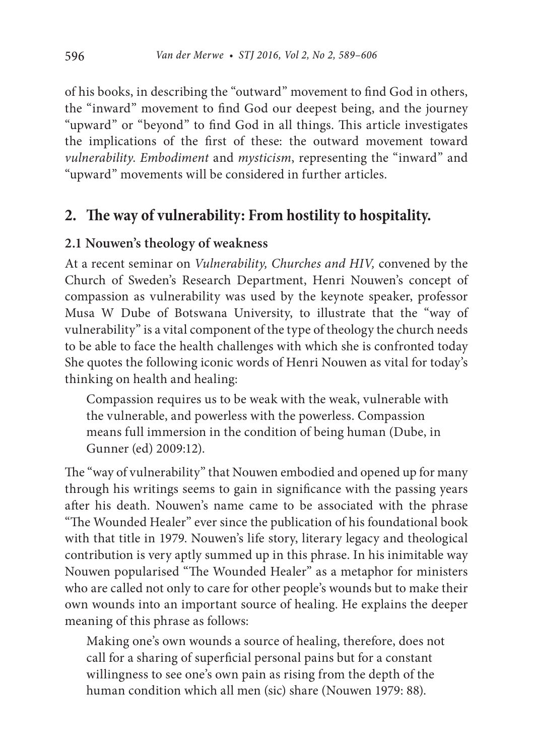of his books, in describing the "outward" movement to find God in others, the "inward" movement to find God our deepest being, and the journey "upward" or "beyond" to find God in all things. This article investigates the implications of the first of these: the outward movement toward *vulnerability*. *Embodiment* and *mysticism*, representing the "inward" and "upward" movements will be considered in further articles.

# **2. The way of vulnerability: From hostility to hospitality.**

### **2.1 Nouwen's theology of weakness**

At a recent seminar on *Vulnerability, Churches and HIV,* convened by the Church of Sweden's Research Department, Henri Nouwen's concept of compassion as vulnerability was used by the keynote speaker, professor Musa W Dube of Botswana University, to illustrate that the "way of vulnerability" is a vital component of the type of theology the church needs to be able to face the health challenges with which she is confronted today She quotes the following iconic words of Henri Nouwen as vital for today's thinking on health and healing:

Compassion requires us to be weak with the weak, vulnerable with the vulnerable, and powerless with the powerless. Compassion means full immersion in the condition of being human (Dube, in Gunner (ed) 2009:12).

The "way of vulnerability" that Nouwen embodied and opened up for many through his writings seems to gain in significance with the passing years after his death. Nouwen's name came to be associated with the phrase "The Wounded Healer" ever since the publication of his foundational book with that title in 1979. Nouwen's life story, literary legacy and theological contribution is very aptly summed up in this phrase. In his inimitable way Nouwen popularised "The Wounded Healer" as a metaphor for ministers who are called not only to care for other people's wounds but to make their own wounds into an important source of healing. He explains the deeper meaning of this phrase as follows:

Making one's own wounds a source of healing, therefore, does not call for a sharing of superficial personal pains but for a constant willingness to see one's own pain as rising from the depth of the human condition which all men (sic) share (Nouwen 1979: 88).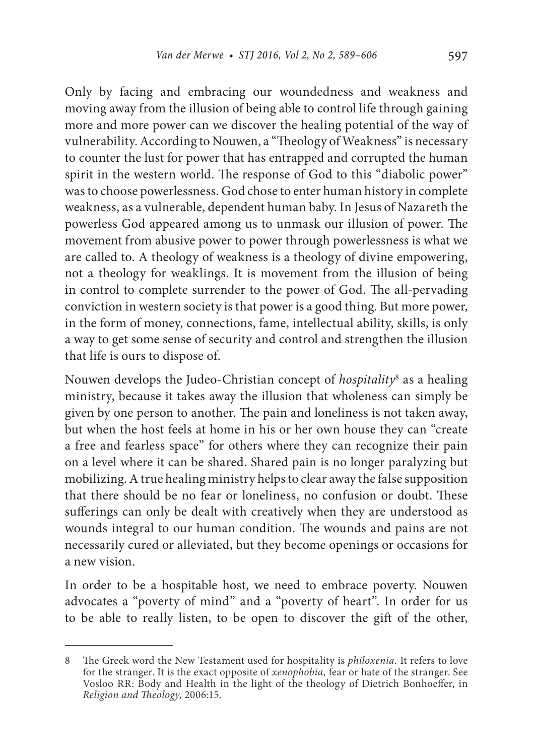Only by facing and embracing our woundedness and weakness and moving away from the illusion of being able to control life through gaining more and more power can we discover the healing potential of the way of vulnerability. According to Nouwen, a "Theology of Weakness" is necessary to counter the lust for power that has entrapped and corrupted the human spirit in the western world. The response of God to this "diabolic power" was to choose powerlessness. God chose to enter human history in complete weakness, as a vulnerable, dependent human baby. In Jesus of Nazareth the powerless God appeared among us to unmask our illusion of power. The movement from abusive power to power through powerlessness is what we are called to. A theology of weakness is a theology of divine empowering, not a theology for weaklings. It is movement from the illusion of being in control to complete surrender to the power of God. The all-pervading conviction in western society is that power is a good thing. But more power, in the form of money, connections, fame, intellectual ability, skills, is only a way to get some sense of security and control and strengthen the illusion that life is ours to dispose of.

Nouwen develops the Judeo-Christian concept of *hospitality*<sup>8</sup> as a healing ministry, because it takes away the illusion that wholeness can simply be given by one person to another. The pain and loneliness is not taken away, but when the host feels at home in his or her own house they can "create a free and fearless space" for others where they can recognize their pain on a level where it can be shared. Shared pain is no longer paralyzing but mobilizing. A true healing ministry helps to clear away the false supposition that there should be no fear or loneliness, no confusion or doubt. These sufferings can only be dealt with creatively when they are understood as wounds integral to our human condition. The wounds and pains are not necessarily cured or alleviated, but they become openings or occasions for a new vision.

In order to be a hospitable host, we need to embrace poverty. Nouwen advocates a "poverty of mind" and a "poverty of heart". In order for us to be able to really listen, to be open to discover the gift of the other,

<sup>8</sup> The Greek word the New Testament used for hospitality is *philoxenia.* It refers to love for the stranger. It is the exact opposite of *xenophobia*, fear or hate of the stranger. See Vosloo RR: Body and Health in the light of the theology of Dietrich Bonhoeffer, in *Religion and Theology,* 2006:15.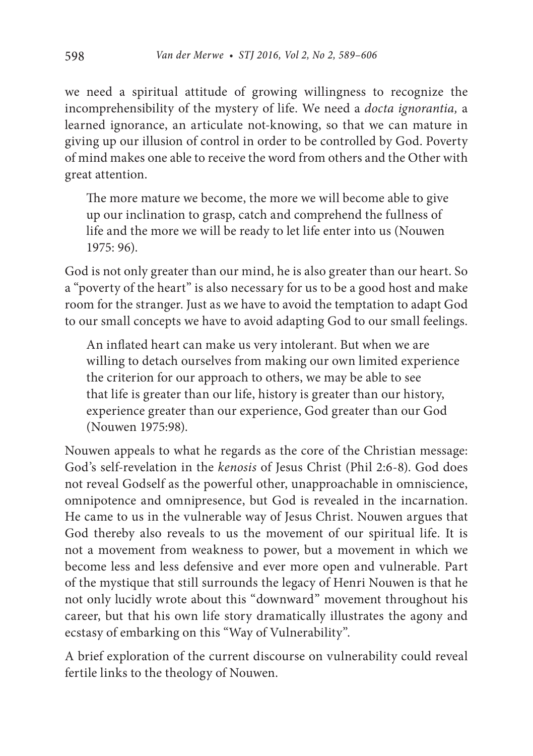we need a spiritual attitude of growing willingness to recognize the incomprehensibility of the mystery of life. We need a *docta ignorantia,* a learned ignorance, an articulate not-knowing, so that we can mature in giving up our illusion of control in order to be controlled by God. Poverty of mind makes one able to receive the word from others and the Other with great attention.

The more mature we become, the more we will become able to give up our inclination to grasp, catch and comprehend the fullness of life and the more we will be ready to let life enter into us (Nouwen 1975: 96).

God is not only greater than our mind, he is also greater than our heart. So a "poverty of the heart" is also necessary for us to be a good host and make room for the stranger. Just as we have to avoid the temptation to adapt God to our small concepts we have to avoid adapting God to our small feelings.

An inflated heart can make us very intolerant. But when we are willing to detach ourselves from making our own limited experience the criterion for our approach to others, we may be able to see that life is greater than our life, history is greater than our history, experience greater than our experience, God greater than our God (Nouwen 1975:98).

Nouwen appeals to what he regards as the core of the Christian message: God's self-revelation in the *kenosis* of Jesus Christ (Phil 2:6-8). God does not reveal Godself as the powerful other, unapproachable in omniscience, omnipotence and omnipresence, but God is revealed in the incarnation. He came to us in the vulnerable way of Jesus Christ. Nouwen argues that God thereby also reveals to us the movement of our spiritual life. It is not a movement from weakness to power, but a movement in which we become less and less defensive and ever more open and vulnerable. Part of the mystique that still surrounds the legacy of Henri Nouwen is that he not only lucidly wrote about this "downward" movement throughout his career, but that his own life story dramatically illustrates the agony and ecstasy of embarking on this "Way of Vulnerability".

A brief exploration of the current discourse on vulnerability could reveal fertile links to the theology of Nouwen.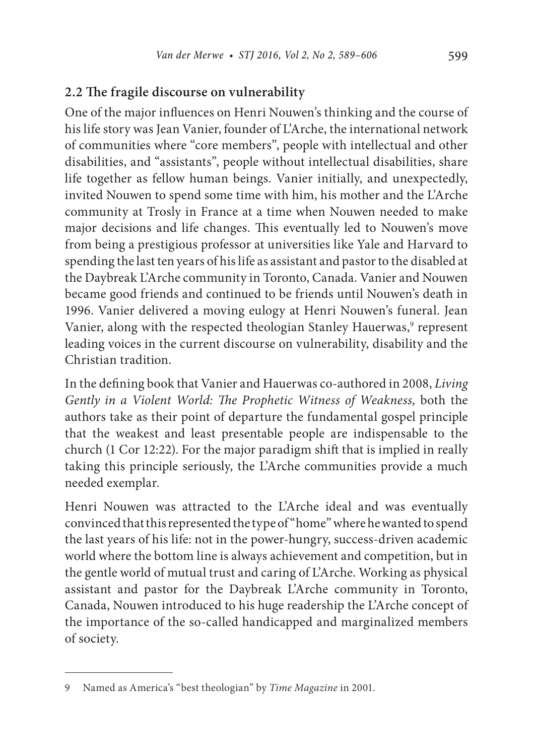## **2.2 The fragile discourse on vulnerability**

One of the major influences on Henri Nouwen's thinking and the course of his life story was Jean Vanier, founder of L'Arche, the international network of communities where "core members", people with intellectual and other disabilities, and "assistants", people without intellectual disabilities, share life together as fellow human beings. Vanier initially, and unexpectedly, invited Nouwen to spend some time with him, his mother and the L'Arche community at Trosly in France at a time when Nouwen needed to make major decisions and life changes. This eventually led to Nouwen's move from being a prestigious professor at universities like Yale and Harvard to spending the last ten years of his life as assistant and pastor to the disabled at the Daybreak L'Arche community in Toronto, Canada. Vanier and Nouwen became good friends and continued to be friends until Nouwen's death in 1996. Vanier delivered a moving eulogy at Henri Nouwen's funeral. Jean Vanier, along with the respected theologian Stanley Hauerwas,<sup>9</sup> represent leading voices in the current discourse on vulnerability, disability and the Christian tradition.

In the defining book that Vanier and Hauerwas co-authored in 2008, *Living Gently in a Violent World: The Prophetic Witness of Weakness,* both the authors take as their point of departure the fundamental gospel principle that the weakest and least presentable people are indispensable to the church (1 Cor 12:22). For the major paradigm shift that is implied in really taking this principle seriously, the L'Arche communities provide a much needed exemplar.

Henri Nouwen was attracted to the L'Arche ideal and was eventually convinced that this represented the type of "home" where he wanted to spend the last years of his life: not in the power-hungry, success-driven academic world where the bottom line is always achievement and competition, but in the gentle world of mutual trust and caring of L'Arche. Working as physical assistant and pastor for the Daybreak L'Arche community in Toronto, Canada, Nouwen introduced to his huge readership the L'Arche concept of the importance of the so-called handicapped and marginalized members of society.

<sup>9</sup> Named as America's "best theologian" by *Time Magazine* in 2001.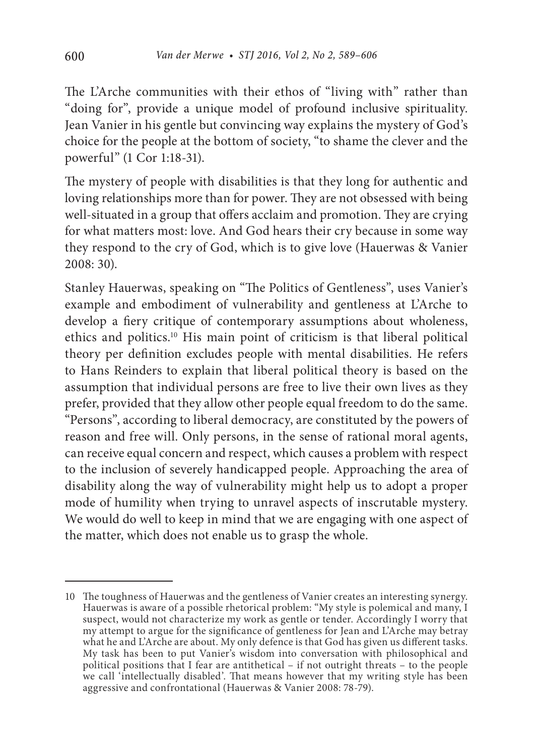The L'Arche communities with their ethos of "living with" rather than "doing for", provide a unique model of profound inclusive spirituality. Jean Vanier in his gentle but convincing way explains the mystery of God's choice for the people at the bottom of society, "to shame the clever and the powerful" (1 Cor 1:18-31).

The mystery of people with disabilities is that they long for authentic and loving relationships more than for power. They are not obsessed with being well-situated in a group that offers acclaim and promotion. They are crying for what matters most: love. And God hears their cry because in some way they respond to the cry of God, which is to give love (Hauerwas & Vanier 2008: 30).

Stanley Hauerwas, speaking on "The Politics of Gentleness", uses Vanier's example and embodiment of vulnerability and gentleness at L'Arche to develop a fiery critique of contemporary assumptions about wholeness, ethics and politics.10 His main point of criticism is that liberal political theory per definition excludes people with mental disabilities. He refers to Hans Reinders to explain that liberal political theory is based on the assumption that individual persons are free to live their own lives as they prefer, provided that they allow other people equal freedom to do the same. "Persons", according to liberal democracy, are constituted by the powers of reason and free will. Only persons, in the sense of rational moral agents, can receive equal concern and respect, which causes a problem with respect to the inclusion of severely handicapped people. Approaching the area of disability along the way of vulnerability might help us to adopt a proper mode of humility when trying to unravel aspects of inscrutable mystery. We would do well to keep in mind that we are engaging with one aspect of the matter, which does not enable us to grasp the whole.

<sup>10</sup> The toughness of Hauerwas and the gentleness of Vanier creates an interesting synergy. Hauerwas is aware of a possible rhetorical problem: "My style is polemical and many, I suspect, would not characterize my work as gentle or tender. Accordingly I worry that my attempt to argue for the significance of gentleness for Jean and L'Arche may betray what he and L'Arche are about. My only defence is that God has given us different tasks. My task has been to put Vanier's wisdom into conversation with philosophical and political positions that I fear are antithetical – if not outright threats – to the people we call 'intellectually disabled'. That means however that my writing style has been aggressive and confrontational (Hauerwas & Vanier 2008: 78-79).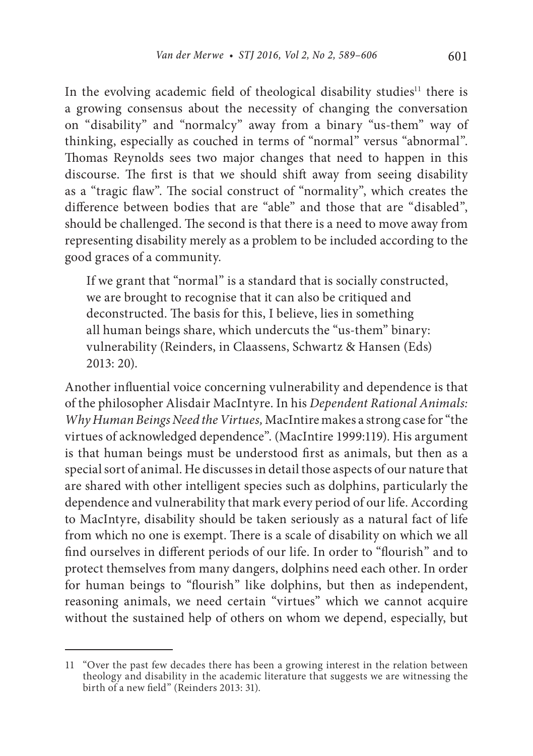In the evolving academic field of theological disability studies<sup>11</sup> there is a growing consensus about the necessity of changing the conversation on "disability" and "normalcy" away from a binary "us-them" way of thinking, especially as couched in terms of "normal" versus "abnormal". Thomas Reynolds sees two major changes that need to happen in this discourse. The first is that we should shift away from seeing disability as a "tragic flaw". The social construct of "normality", which creates the difference between bodies that are "able" and those that are "disabled", should be challenged. The second is that there is a need to move away from representing disability merely as a problem to be included according to the good graces of a community.

If we grant that "normal" is a standard that is socially constructed, we are brought to recognise that it can also be critiqued and deconstructed. The basis for this, I believe, lies in something all human beings share, which undercuts the "us-them" binary: vulnerability (Reinders, in Claassens, Schwartz & Hansen (Eds) 2013: 20).

Another influential voice concerning vulnerability and dependence is that of the philosopher Alisdair MacIntyre. In his *Dependent Rational Animals: Why Human Beings Need the Virtues,* MacIntire makes a strong case for "the virtues of acknowledged dependence". (MacIntire 1999:119). His argument is that human beings must be understood first as animals, but then as a special sort of animal. He discusses in detail those aspects of our nature that are shared with other intelligent species such as dolphins, particularly the dependence and vulnerability that mark every period of our life. According to MacIntyre, disability should be taken seriously as a natural fact of life from which no one is exempt. There is a scale of disability on which we all find ourselves in different periods of our life. In order to "flourish" and to protect themselves from many dangers, dolphins need each other. In order for human beings to "flourish" like dolphins, but then as independent, reasoning animals, we need certain "virtues" which we cannot acquire without the sustained help of others on whom we depend, especially, but

<sup>11</sup> "Over the past few decades there has been a growing interest in the relation between theology and disability in the academic literature that suggests we are witnessing the birth of a new field" (Reinders 2013: 31).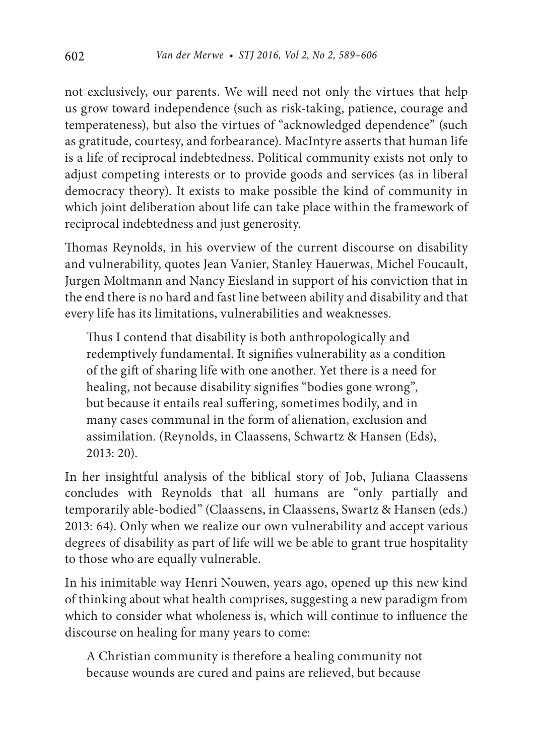not exclusively, our parents. We will need not only the virtues that help us grow toward independence (such as risk-taking, patience, courage and temperateness), but also the virtues of "acknowledged dependence" (such as gratitude, courtesy, and forbearance). MacIntyre asserts that human life is a life of reciprocal indebtedness. Political community exists not only to adjust competing interests or to provide goods and services (as in liberal democracy theory). It exists to make possible the kind of community in which joint deliberation about life can take place within the framework of reciprocal indebtedness and just generosity.

Thomas Reynolds, in his overview of the current discourse on disability and vulnerability, quotes Jean Vanier, Stanley Hauerwas, Michel Foucault, Jurgen Moltmann and Nancy Eiesland in support of his conviction that in the end there is no hard and fast line between ability and disability and that every life has its limitations, vulnerabilities and weaknesses.

Thus I contend that disability is both anthropologically and redemptively fundamental. It signifies vulnerability as a condition of the gift of sharing life with one another. Yet there is a need for healing, not because disability signifies "bodies gone wrong", but because it entails real suffering, sometimes bodily, and in many cases communal in the form of alienation, exclusion and assimilation. (Reynolds, in Claassens, Schwartz & Hansen (Eds), 2013: 20).

In her insightful analysis of the biblical story of Job, Juliana Claassens concludes with Reynolds that all humans are "only partially and temporarily able-bodied" (Claassens, in Claassens, Swartz & Hansen (eds.) 2013: 64). Only when we realize our own vulnerability and accept various degrees of disability as part of life will we be able to grant true hospitality to those who are equally vulnerable.

In his inimitable way Henri Nouwen, years ago, opened up this new kind of thinking about what health comprises, suggesting a new paradigm from which to consider what wholeness is, which will continue to influence the discourse on healing for many years to come:

A Christian community is therefore a healing community not because wounds are cured and pains are relieved, but because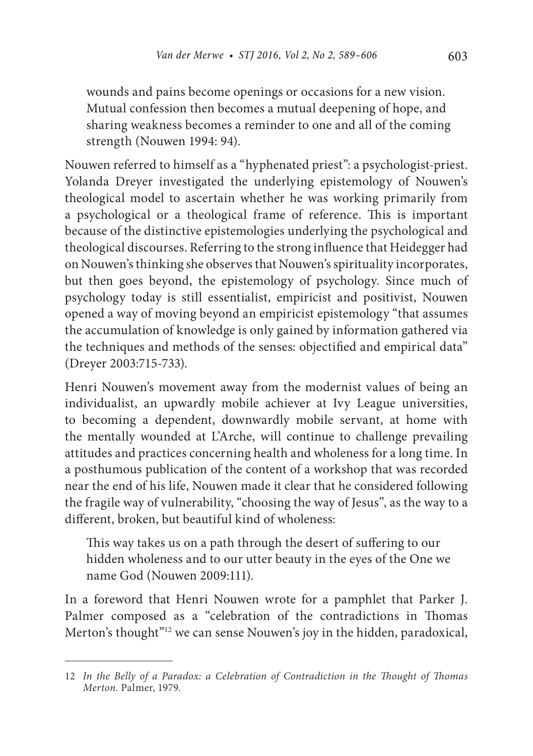wounds and pains become openings or occasions for a new vision. Mutual confession then becomes a mutual deepening of hope, and sharing weakness becomes a reminder to one and all of the coming strength (Nouwen 1994: 94).

Nouwen referred to himself as a "hyphenated priest": a psychologist-priest. Yolanda Dreyer investigated the underlying epistemology of Nouwen's theological model to ascertain whether he was working primarily from a psychological or a theological frame of reference. This is important because of the distinctive epistemologies underlying the psychological and theological discourses. Referring to the strong influence that Heidegger had on Nouwen's thinking she observes that Nouwen's spirituality incorporates, but then goes beyond, the epistemology of psychology. Since much of psychology today is still essentialist, empiricist and positivist, Nouwen opened a way of moving beyond an empiricist epistemology "that assumes the accumulation of knowledge is only gained by information gathered via the techniques and methods of the senses: objectified and empirical data" (Dreyer 2003:715-733).

Henri Nouwen's movement away from the modernist values of being an individualist, an upwardly mobile achiever at Ivy League universities, to becoming a dependent, downwardly mobile servant, at home with the mentally wounded at L'Arche, will continue to challenge prevailing attitudes and practices concerning health and wholeness for a long time. In a posthumous publication of the content of a workshop that was recorded near the end of his life, Nouwen made it clear that he considered following the fragile way of vulnerability, "choosing the way of Jesus", as the way to a different, broken, but beautiful kind of wholeness:

This way takes us on a path through the desert of suffering to our hidden wholeness and to our utter beauty in the eyes of the One we name God (Nouwen 2009:111).

In a foreword that Henri Nouwen wrote for a pamphlet that Parker J. Palmer composed as a "celebration of the contradictions in Thomas Merton's thought"<sup>12</sup> we can sense Nouwen's joy in the hidden, paradoxical,

<sup>12</sup> *In the Belly of a Paradox: a Celebration of Contradiction in the Thought of Thomas Merton.* Palmer, 1979.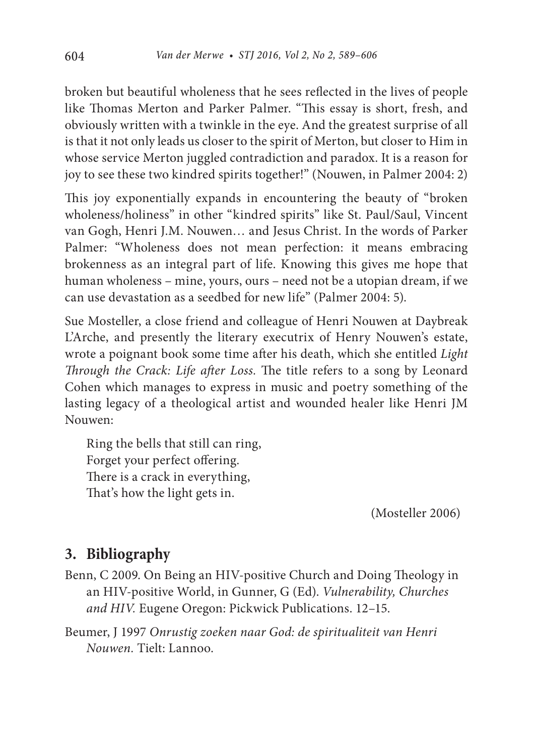broken but beautiful wholeness that he sees reflected in the lives of people like Thomas Merton and Parker Palmer. "This essay is short, fresh, and obviously written with a twinkle in the eye. And the greatest surprise of all is that it not only leads us closer to the spirit of Merton, but closer to Him in whose service Merton juggled contradiction and paradox. It is a reason for joy to see these two kindred spirits together!" (Nouwen, in Palmer 2004: 2)

This joy exponentially expands in encountering the beauty of "broken wholeness/holiness" in other "kindred spirits" like St. Paul/Saul, Vincent van Gogh, Henri J.M. Nouwen… and Jesus Christ. In the words of Parker Palmer: "Wholeness does not mean perfection: it means embracing brokenness as an integral part of life. Knowing this gives me hope that human wholeness – mine, yours, ours – need not be a utopian dream, if we can use devastation as a seedbed for new life" (Palmer 2004: 5).

Sue Mosteller, a close friend and colleague of Henri Nouwen at Daybreak L'Arche, and presently the literary executrix of Henry Nouwen's estate, wrote a poignant book some time after his death, which she entitled *Light Through the Crack: Life after Loss.* The title refers to a song by Leonard Cohen which manages to express in music and poetry something of the lasting legacy of a theological artist and wounded healer like Henri JM Nouwen:

Ring the bells that still can ring, Forget your perfect offering. There is a crack in everything, That's how the light gets in.

(Mosteller 2006)

# **3. Bibliography**

- Benn, C 2009. On Being an HIV-positive Church and Doing Theology in an HIV-positive World, in Gunner, G (Ed). *Vulnerability, Churches and HIV.* Eugene Oregon: Pickwick Publications. 12–15.
- Beumer, J 1997 *Onrustig zoeken naar God: de spiritualiteit van Henri Nouwen.* Tielt: Lannoo.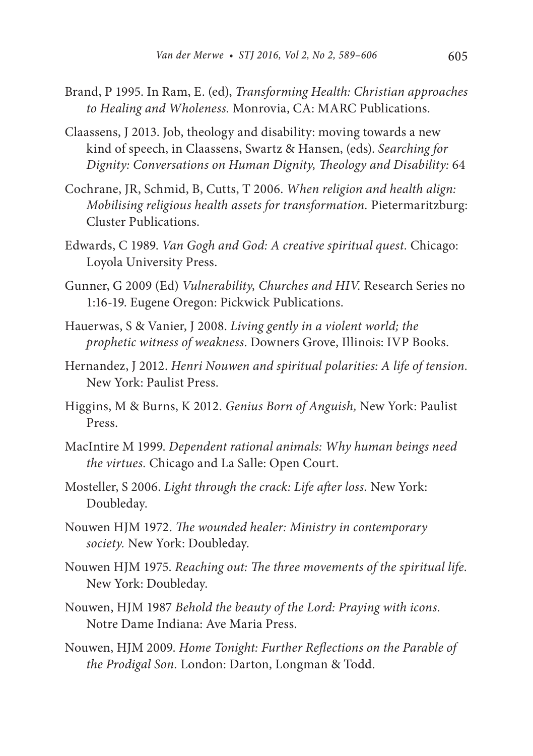- Brand, P 1995. In Ram, E. (ed), *Transforming Health: Christian approaches to Healing and Wholeness.* Monrovia, CA: MARC Publications.
- Claassens, J 2013. Job, theology and disability: moving towards a new kind of speech, in Claassens, Swartz & Hansen, (eds). *Searching for Dignity: Conversations on Human Dignity, Theology and Disability:* 64
- Cochrane, JR, Schmid, B, Cutts, T 2006. *When religion and health align: Mobilising religious health assets for transformation.* Pietermaritzburg: Cluster Publications.
- Edwards, C 1989. *Van Gogh and God: A creative spiritual quest.* Chicago: Loyola University Press.
- Gunner, G 2009 (Ed) *Vulnerability, Churches and HIV.* Research Series no 1:16-19. Eugene Oregon: Pickwick Publications.
- Hauerwas, S & Vanier, J 2008. *Living gently in a violent world; the prophetic witness of weakness*. Downers Grove, Illinois: IVP Books.
- Hernandez, J 2012. *Henri Nouwen and spiritual polarities: A life of tension.*  New York: Paulist Press.
- Higgins, M & Burns, K 2012. *Genius Born of Anguish,* New York: Paulist Press.
- MacIntire M 1999. *Dependent rational animals: Why human beings need the virtues.* Chicago and La Salle: Open Court.
- Mosteller, S 2006. *Light through the crack: Life after loss.* New York: Doubleday.
- Nouwen HJM 1972. *The wounded healer: Ministry in contemporary society.* New York: Doubleday.
- Nouwen HJM 1975. *Reaching out: The three movements of the spiritual life.* New York: Doubleday.
- Nouwen, HJM 1987 *Behold the beauty of the Lord: Praying with icons.* Notre Dame Indiana: Ave Maria Press.
- Nouwen, HJM 2009. *Home Tonight: Further Reflections on the Parable of the Prodigal Son.* London: Darton, Longman & Todd.